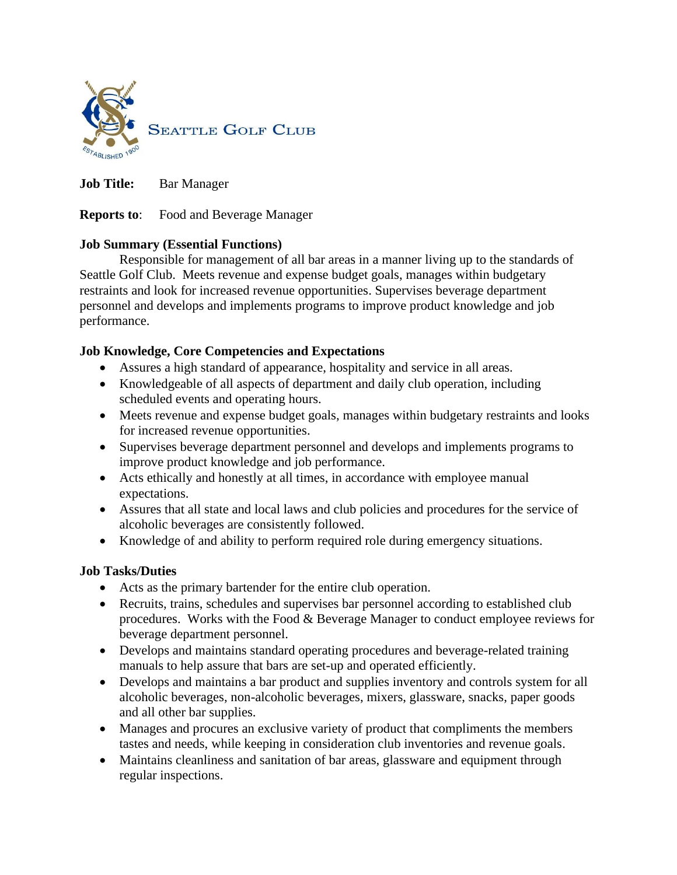

**Job Title:** Bar Manager

**Reports to**: Food and Beverage Manager

## **Job Summary (Essential Functions)**

Responsible for management of all bar areas in a manner living up to the standards of Seattle Golf Club. Meets revenue and expense budget goals, manages within budgetary restraints and look for increased revenue opportunities. Supervises beverage department personnel and develops and implements programs to improve product knowledge and job performance.

# **Job Knowledge, Core Competencies and Expectations**

- Assures a high standard of appearance, hospitality and service in all areas.
- Knowledgeable of all aspects of department and daily club operation, including scheduled events and operating hours.
- Meets revenue and expense budget goals, manages within budgetary restraints and looks for increased revenue opportunities.
- Supervises beverage department personnel and develops and implements programs to improve product knowledge and job performance.
- Acts ethically and honestly at all times, in accordance with employee manual expectations.
- Assures that all state and local laws and club policies and procedures for the service of alcoholic beverages are consistently followed.
- Knowledge of and ability to perform required role during emergency situations.

## **Job Tasks/Duties**

- Acts as the primary bartender for the entire club operation.
- Recruits, trains, schedules and supervises bar personnel according to established club procedures. Works with the Food & Beverage Manager to conduct employee reviews for beverage department personnel.
- Develops and maintains standard operating procedures and beverage-related training manuals to help assure that bars are set-up and operated efficiently.
- Develops and maintains a bar product and supplies inventory and controls system for all alcoholic beverages, non-alcoholic beverages, mixers, glassware, snacks, paper goods and all other bar supplies.
- Manages and procures an exclusive variety of product that compliments the members tastes and needs, while keeping in consideration club inventories and revenue goals.
- Maintains cleanliness and sanitation of bar areas, glassware and equipment through regular inspections.